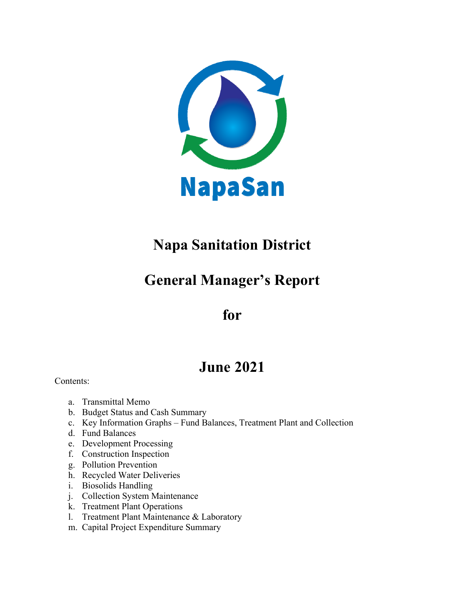

# **Napa Sanitation District**

## **General Manager's Report**

## **for**

## **June 2021**

Contents:

- a. Transmittal Memo
- b. Budget Status and Cash Summary
- c. Key Information Graphs Fund Balances, Treatment Plant and Collection
- d. Fund Balances
- e. Development Processing
- f. Construction Inspection
- g. Pollution Prevention
- h. Recycled Water Deliveries
- i. Biosolids Handling
- j. Collection System Maintenance
- k. Treatment Plant Operations
- l. Treatment Plant Maintenance & Laboratory
- m. Capital Project Expenditure Summary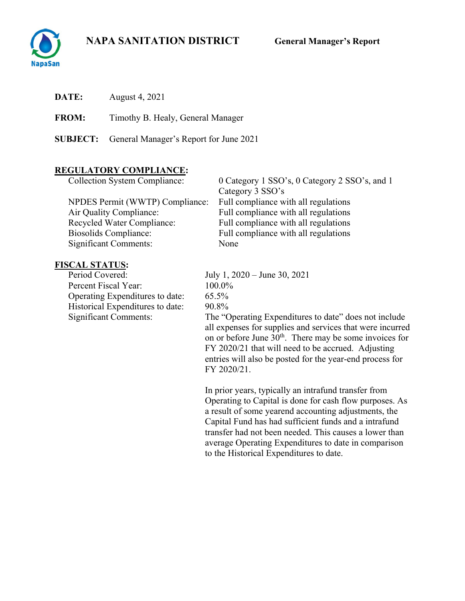

**DATE:** August 4, 2021

**FROM:** Timothy B. Healy, General Manager

**SUBJECT:** General Manager's Report for June 2021

## **REGULATORY COMPLIANCE:**

| <b>Collection System Compliance:</b> | 0 Category 1 SSO's, 0 Category 2 SSO's, and 1 |
|--------------------------------------|-----------------------------------------------|
|                                      | Category 3 SSO's                              |
| NPDES Permit (WWTP) Compliance:      | Full compliance with all regulations          |
| Air Quality Compliance:              | Full compliance with all regulations          |
| Recycled Water Compliance:           | Full compliance with all regulations          |
| Biosolids Compliance:                | Full compliance with all regulations          |
| <b>Significant Comments:</b>         | None                                          |

# **FISCAL STATUS:**<br>Period Covered:

Percent Fiscal Year: 100.0% Operating Expenditures to date: 65.5% Historical Expenditures to date: 90.8%<br>Significant Comments: The "C

July 1, 2020 – June 30, 2021 The "Operating Expenditures to date" does not include

all expenses for supplies and services that were incurred on or before June 30<sup>th</sup>. There may be some invoices for FY 2020/21 that will need to be accrued. Adjusting entries will also be posted for the year-end process for FY 2020/21.

In prior years, typically an intrafund transfer from Operating to Capital is done for cash flow purposes. As a result of some yearend accounting adjustments, the Capital Fund has had sufficient funds and a intrafund transfer had not been needed. This causes a lower than average Operating Expenditures to date in comparison to the Historical Expenditures to date.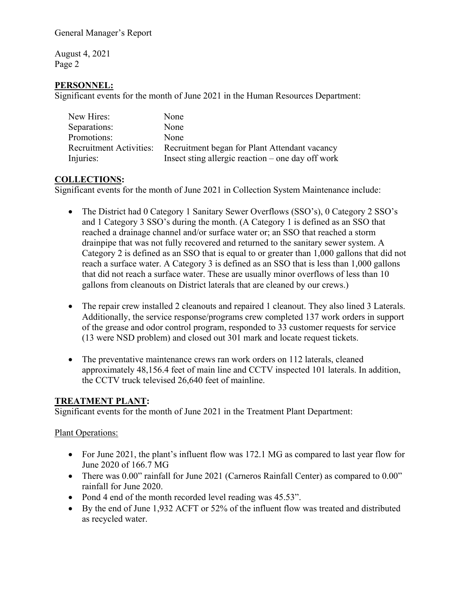August 4, 2021 Page 2

### **PERSONNEL:**

Significant events for the month of June 2021 in the Human Resources Department:

| New Hires:   | None                                                                  |
|--------------|-----------------------------------------------------------------------|
| Separations: | None                                                                  |
| Promotions:  | None                                                                  |
|              | Recruitment Activities: Recruitment began for Plant Attendant vacancy |
| Injuries:    | Insect sting allergic reaction $-$ one day off work                   |

#### **COLLECTIONS:**

Significant events for the month of June 2021 in Collection System Maintenance include:

- The District had 0 Category 1 Sanitary Sewer Overflows (SSO's), 0 Category 2 SSO's and 1 Category 3 SSO's during the month. (A Category 1 is defined as an SSO that reached a drainage channel and/or surface water or; an SSO that reached a storm drainpipe that was not fully recovered and returned to the sanitary sewer system. A Category 2 is defined as an SSO that is equal to or greater than 1,000 gallons that did not reach a surface water. A Category 3 is defined as an SSO that is less than 1,000 gallons that did not reach a surface water. These are usually minor overflows of less than 10 gallons from cleanouts on District laterals that are cleaned by our crews.)
- The repair crew installed 2 cleanouts and repaired 1 cleanout. They also lined 3 Laterals. Additionally, the service response/programs crew completed 137 work orders in support of the grease and odor control program, responded to 33 customer requests for service (13 were NSD problem) and closed out 301 mark and locate request tickets.
- The preventative maintenance crews ran work orders on 112 laterals, cleaned approximately 48,156.4 feet of main line and CCTV inspected 101 laterals. In addition, the CCTV truck televised 26,640 feet of mainline.

#### **TREATMENT PLANT:**

Significant events for the month of June 2021 in the Treatment Plant Department:

#### Plant Operations:

- For June 2021, the plant's influent flow was 172.1 MG as compared to last year flow for June 2020 of 166.7 MG
- There was 0.00" rainfall for June 2021 (Carneros Rainfall Center) as compared to 0.00" rainfall for June 2020.
- Pond 4 end of the month recorded level reading was 45.53".
- By the end of June 1,932 ACFT or 52% of the influent flow was treated and distributed as recycled water.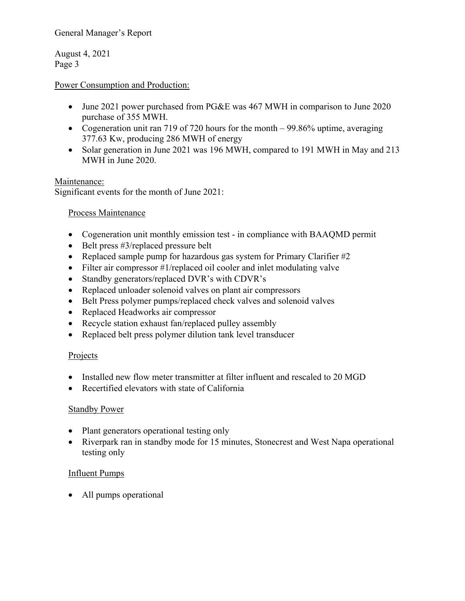General Manager's Report

August 4, 2021 Page 3

### Power Consumption and Production:

- June 2021 power purchased from PG&E was 467 MWH in comparison to June 2020 purchase of 355 MWH.
- Cogeneration unit ran 719 of 720 hours for the month 99.86% uptime, averaging 377.63 Kw, producing 286 MWH of energy
- Solar generation in June 2021 was 196 MWH, compared to 191 MWH in May and 213 MWH in June 2020.

#### Maintenance:

Significant events for the month of June 2021:

### Process Maintenance

- Cogeneration unit monthly emission test in compliance with BAAQMD permit
- $\bullet$  Belt press #3/replaced pressure belt
- Replaced sample pump for hazardous gas system for Primary Clarifier #2
- Filter air compressor #1/replaced oil cooler and inlet modulating valve
- Standby generators/replaced DVR's with CDVR's
- Replaced unloader solenoid valves on plant air compressors
- Belt Press polymer pumps/replaced check valves and solenoid valves
- Replaced Headworks air compressor
- Recycle station exhaust fan/replaced pulley assembly
- Replaced belt press polymer dilution tank level transducer

#### **Projects**

- Installed new flow meter transmitter at filter influent and rescaled to 20 MGD
- Recertified elevators with state of California

#### **Standby Power**

- Plant generators operational testing only
- Riverpark ran in standby mode for 15 minutes, Stonecrest and West Napa operational testing only

#### Influent Pumps

• All pumps operational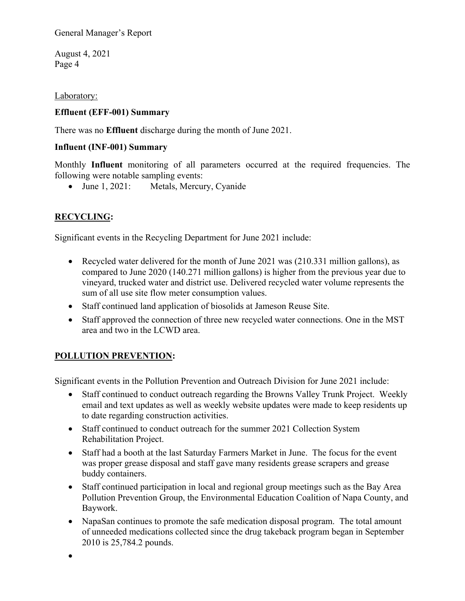General Manager's Report

August 4, 2021 Page 4

Laboratory:

### **Effluent (EFF-001) Summary**

There was no **Effluent** discharge during the month of June 2021.

### **Influent (INF-001) Summary**

Monthly **Influent** monitoring of all parameters occurred at the required frequencies. The following were notable sampling events:

• June 1, 2021: Metals, Mercury, Cyanide

## **RECYCLING:**

Significant events in the Recycling Department for June 2021 include:

- Recycled water delivered for the month of June 2021 was (210.331 million gallons), as compared to June 2020 (140.271 million gallons) is higher from the previous year due to vineyard, trucked water and district use. Delivered recycled water volume represents the sum of all use site flow meter consumption values.
- Staff continued land application of biosolids at Jameson Reuse Site.
- Staff approved the connection of three new recycled water connections. One in the MST area and two in the LCWD area.

## **POLLUTION PREVENTION:**

Significant events in the Pollution Prevention and Outreach Division for June 2021 include:

- Staff continued to conduct outreach regarding the Browns Valley Trunk Project. Weekly email and text updates as well as weekly website updates were made to keep residents up to date regarding construction activities.
- Staff continued to conduct outreach for the summer 2021 Collection System Rehabilitation Project.
- Staff had a booth at the last Saturday Farmers Market in June. The focus for the event was proper grease disposal and staff gave many residents grease scrapers and grease buddy containers.
- Staff continued participation in local and regional group meetings such as the Bay Area Pollution Prevention Group, the Environmental Education Coalition of Napa County, and Baywork.
- NapaSan continues to promote the safe medication disposal program. The total amount of unneeded medications collected since the drug takeback program began in September 2010 is 25,784.2 pounds.

 $\bullet$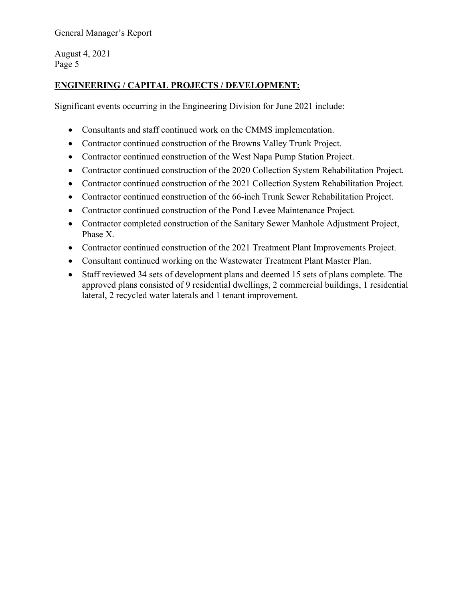General Manager's Report

August 4, 2021 Page 5

## **ENGINEERING / CAPITAL PROJECTS / DEVELOPMENT:**

Significant events occurring in the Engineering Division for June 2021 include:

- Consultants and staff continued work on the CMMS implementation.
- Contractor continued construction of the Browns Valley Trunk Project.
- Contractor continued construction of the West Napa Pump Station Project.
- Contractor continued construction of the 2020 Collection System Rehabilitation Project.
- Contractor continued construction of the 2021 Collection System Rehabilitation Project.
- Contractor continued construction of the 66-inch Trunk Sewer Rehabilitation Project.
- Contractor continued construction of the Pond Levee Maintenance Project.
- Contractor completed construction of the Sanitary Sewer Manhole Adjustment Project, Phase X.
- Contractor continued construction of the 2021 Treatment Plant Improvements Project.
- Consultant continued working on the Wastewater Treatment Plant Master Plan.
- Staff reviewed 34 sets of development plans and deemed 15 sets of plans complete. The approved plans consisted of 9 residential dwellings, 2 commercial buildings, 1 residential lateral, 2 recycled water laterals and 1 tenant improvement.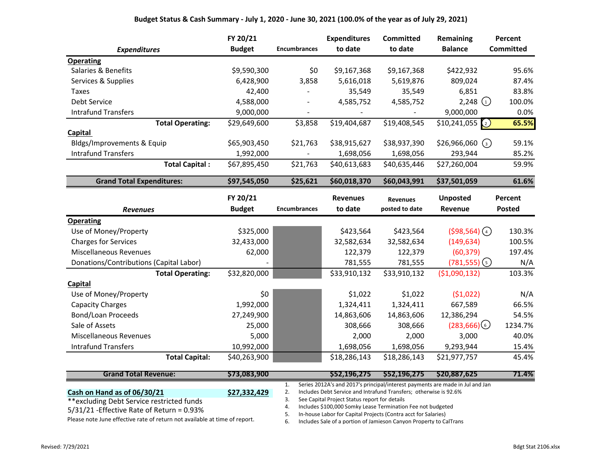|                                         | FY 20/21      |                              | <b>Expenditures</b> | <b>Committed</b> | Remaining                     | Percent          |
|-----------------------------------------|---------------|------------------------------|---------------------|------------------|-------------------------------|------------------|
| <b>Expenditures</b>                     | <b>Budget</b> | <b>Encumbrances</b>          | to date             | to date          | <b>Balance</b>                | <b>Committed</b> |
| <b>Operating</b>                        |               |                              |                     |                  |                               |                  |
| Salaries & Benefits                     | \$9,590,300   | \$0                          | \$9,167,368         | \$9,167,368      | \$422,932                     | 95.6%            |
| Services & Supplies                     | 6,428,900     | 3,858                        | 5,616,018           | 5,619,876        | 809,024                       | 87.4%            |
| Taxes                                   | 42,400        |                              | 35,549              | 35,549           | 6,851                         | 83.8%            |
| Debt Service                            | 4,588,000     | $\qquad \qquad \blacksquare$ | 4,585,752           | 4,585,752        | 2,248 $(1)$                   | 100.0%           |
| <b>Intrafund Transfers</b>              | 9,000,000     |                              |                     |                  | 9,000,000                     | 0.0%             |
| <b>Total Operating:</b>                 | \$29,649,600  | \$3,858                      | \$19,404,687        | \$19,408,545     | \$10,241,055<br>$\binom{2}{}$ | 65.5%            |
| <b>Capital</b>                          |               |                              |                     |                  |                               |                  |
| Bldgs/Improvements & Equip              | \$65,903,450  | \$21,763                     | \$38,915,627        | \$38,937,390     | $$26,966,060$ (3)             | 59.1%            |
| <b>Intrafund Transfers</b>              | 1,992,000     |                              | 1,698,056           | 1,698,056        | 293,944                       | 85.2%            |
| <b>Total Capital:</b>                   | \$67,895,450  | \$21,763                     | \$40,613,683        | \$40,635,446     | \$27,260,004                  | 59.9%            |
| <b>Grand Total Expenditures:</b>        | \$97,545,050  | \$25,621                     | \$60,018,370        | \$60,043,991     | \$37,501,059                  | 61.6%            |
|                                         | FY 20/21      |                              | <b>Revenues</b>     | <b>Revenues</b>  | <b>Unposted</b>               | Percent          |
| <b>Revenues</b>                         | <b>Budget</b> | <b>Encumbrances</b>          | to date             | posted to date   | Revenue                       | <b>Posted</b>    |
| <b>Operating</b>                        |               |                              |                     |                  |                               |                  |
| Use of Money/Property                   | \$325,000     |                              | \$423,564           | \$423,564        | $(598, 564)$ (4)              | 130.3%           |
| <b>Charges for Services</b>             | 32,433,000    |                              | 32,582,634          | 32,582,634       | (149, 634)                    | 100.5%           |
| <b>Miscellaneous Revenues</b>           | 62,000        |                              | 122,379             | 122,379          | (60, 379)                     | 197.4%           |
| Donations/Contributions (Capital Labor) |               |                              | 781,555             | 781,555          | $(781, 555)$ (5)              | N/A              |
| <b>Total Operating:</b>                 | \$32,820,000  |                              | \$33,910,132        | \$33,910,132     | ( \$1,090,132)                | 103.3%           |
| Capital                                 |               |                              |                     |                  |                               |                  |
| Use of Money/Property                   | \$0           |                              | \$1,022             | \$1,022          | (51,022)                      | N/A              |
| <b>Capacity Charges</b>                 | 1,992,000     |                              | 1,324,411           | 1,324,411        | 667,589                       | 66.5%            |
| Bond/Loan Proceeds                      | 27,249,900    |                              | 14,863,606          | 14,863,606       | 12,386,294                    | 54.5%            |
| Sale of Assets                          | 25,000        |                              | 308,666             | 308,666          | (283,666)                     | 1234.7%          |
| Miscellaneous Revenues                  | 5,000         |                              | 2,000               | 2,000            | 3,000                         | 40.0%            |
| <b>Intrafund Transfers</b>              | 10,992,000    |                              | 1,698,056           | 1,698,056        | 9,293,944                     | 15.4%            |
| <b>Total Capital:</b>                   | \$40,263,900  |                              | \$18,286,143        | \$18,286,143     | \$21,977,757                  | 45.4%            |

| <b>Grand Total Revenue:</b>                                                                                                                                                                                                     | \$73.083.900 | S52.196.275                                                                   | S52.196.275 | \$20,887,625 | 71.4% |
|---------------------------------------------------------------------------------------------------------------------------------------------------------------------------------------------------------------------------------|--------------|-------------------------------------------------------------------------------|-------------|--------------|-------|
|                                                                                                                                                                                                                                 |              | Series 2012A's and 2017's principal/interest payments are made in Jul and Jan |             |              |       |
| Cash on Hand as of 06/30/21                                                                                                                                                                                                     | \$27,332,429 | Includes Debt Service and Intrafund Transfers; otherwise is 92.6%             |             |              |       |
| **excluding Debt Service restricted funds                                                                                                                                                                                       |              | See Capital Project Status report for details                                 |             |              |       |
| $5/31/21$ -Effective Rate of Return = 0.93%                                                                                                                                                                                     |              | Includes \$100,000 Somky Lease Termination Fee not budgeted                   |             |              |       |
| $\sim$ . The set of the set of the set of the set of the set of the set of the set of the set of the set of the set of the set of the set of the set of the set of the set of the set of the set of the set of the set of the s |              | In-house Labor for Capital Projects (Contra acct for Salaries)                |             |              |       |

Please note June effective rate of return not available at time of report.

6. Includes Sale of a portion of Jamieson Canyon Property to CalTrans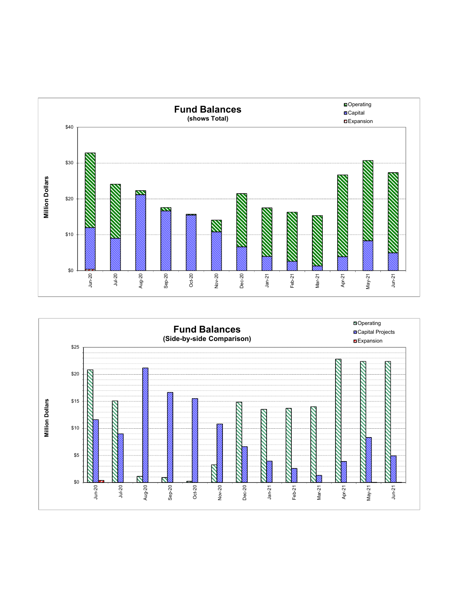

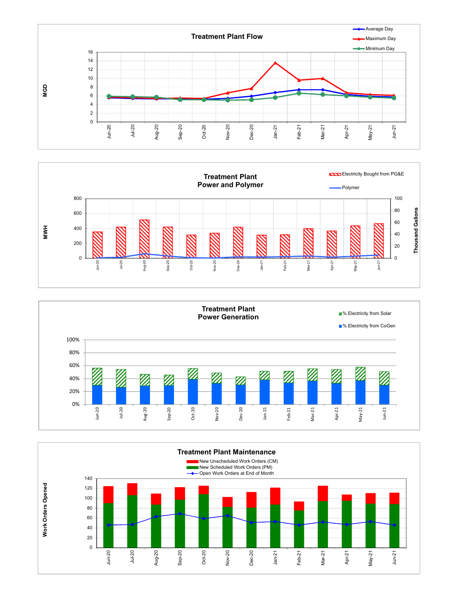





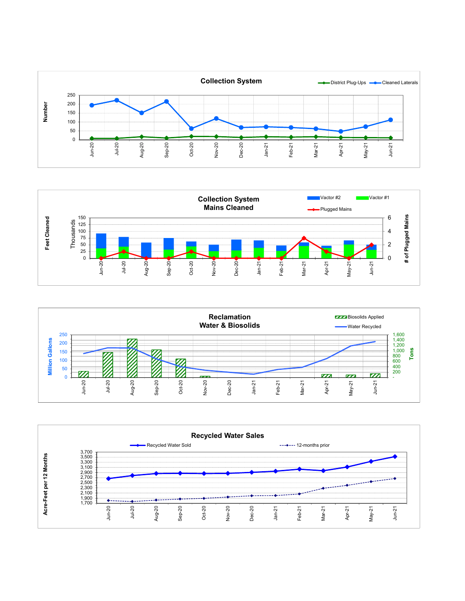





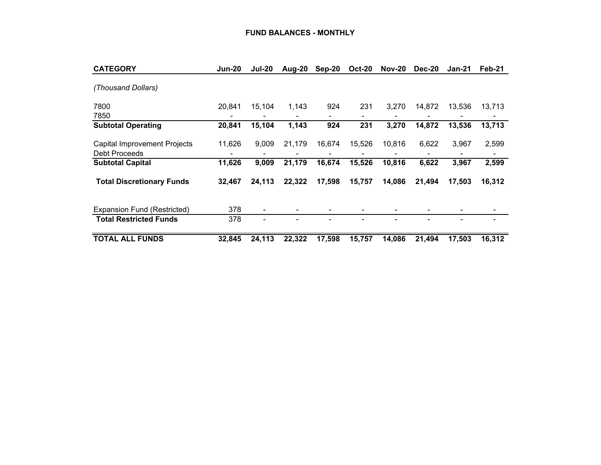| <b>CATEGORY</b>                                      | <b>Jun-20</b> | <b>Jul-20</b> | Aug-20 | Sep-20 | <b>Oct-20</b> | <b>Nov-20</b> | <b>Dec-20</b>  | Jan-21 | Feb-21 |
|------------------------------------------------------|---------------|---------------|--------|--------|---------------|---------------|----------------|--------|--------|
| (Thousand Dollars)                                   |               |               |        |        |               |               |                |        |        |
| 7800<br>7850                                         | 20,841        | 15,104        | 1,143  | 924    | 231           | 3.270         | 14,872         | 13,536 | 13,713 |
| <b>Subtotal Operating</b>                            | 20,841        | 15,104        | 1,143  | 924    | 231           | 3,270         | 14,872         | 13,536 | 13,713 |
| <b>Capital Improvement Projects</b><br>Debt Proceeds | 11,626        | 9,009         | 21,179 | 16,674 | 15,526        | 10,816        | 6,622          | 3,967  | 2,599  |
| <b>Subtotal Capital</b>                              | 11,626        | 9,009         | 21,179 | 16,674 | 15,526        | 10,816        | 6,622          | 3,967  | 2,599  |
| <b>Total Discretionary Funds</b>                     | 32,467        | 24,113        | 22,322 | 17,598 | 15,757        | 14,086        | 21,494         | 17,503 | 16,312 |
| Expansion Fund (Restricted)                          | 378           | ۰             |        |        |               |               |                |        |        |
| <b>Total Restricted Funds</b>                        | 378           | ۰             |        |        |               | ۰             | $\blacksquare$ |        |        |
| <b>TOTAL ALL FUNDS</b>                               | 32,845        | 24,113        | 22,322 | 17,598 | 15,757        | 14,086        | 21.494         | 17,503 | 16,312 |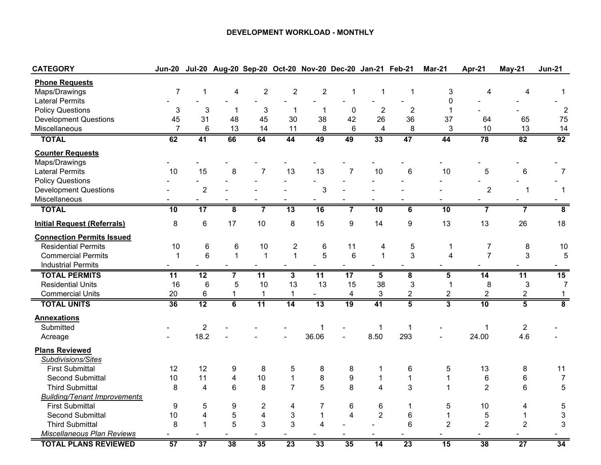#### **DEVELOPMENT WORKLOAD - MONTHLY**

| <b>CATEGORY</b>                     | <b>Jun-20</b>   |                 |                         |                         |                         |                          | Jul-20 Aug-20 Sep-20 Oct-20 Nov-20 Dec-20 Jan-21 Feb-21 |                         |                         | <b>Mar-21</b>           | Apr-21                  | May-21          | <b>Jun-21</b>             |
|-------------------------------------|-----------------|-----------------|-------------------------|-------------------------|-------------------------|--------------------------|---------------------------------------------------------|-------------------------|-------------------------|-------------------------|-------------------------|-----------------|---------------------------|
| <b>Phone Requests</b>               |                 |                 |                         |                         |                         |                          |                                                         |                         |                         |                         |                         |                 |                           |
| Maps/Drawings                       | $\overline{7}$  | 1               | 4                       | $\overline{\mathbf{c}}$ | $\overline{2}$          | $\overline{2}$           | 1                                                       | 1                       | 1                       | 3                       | 4                       | 4               | 1                         |
| <b>Lateral Permits</b>              |                 |                 |                         |                         |                         |                          |                                                         |                         |                         | 0                       |                         |                 |                           |
| <b>Policy Questions</b>             | 3               | 3               | 1                       | 3                       | $\mathbf 1$             | 1                        | 0                                                       | $\overline{2}$          | $\overline{2}$          | $\mathbf 1$             |                         |                 | $\overline{2}$            |
| <b>Development Questions</b>        | 45              | 31              | 48                      | 45                      | 30                      | 38                       | 42                                                      | 26                      | 36                      | 37                      | 64                      | 65              | 75                        |
| Miscellaneous                       | $\overline{7}$  | $6\phantom{1}$  | 13                      | 14                      | 11                      | 8                        | $6\phantom{1}$                                          | $\overline{4}$          | 8                       | 3                       | 10                      | 13              | 14                        |
| <b>TOTAL</b>                        | 62              | 41              | 66                      | 64                      | 44                      | 49                       | 49                                                      | 33                      | 47                      | 44                      | 78                      | 82              | 92                        |
| <b>Counter Requests</b>             |                 |                 |                         |                         |                         |                          |                                                         |                         |                         |                         |                         |                 |                           |
| Maps/Drawings                       |                 |                 |                         |                         |                         |                          |                                                         |                         |                         |                         |                         |                 |                           |
| <b>Lateral Permits</b>              | 10              | 15              | 8                       | $\overline{7}$          | 13                      | 13                       | $\overline{7}$                                          | 10                      | $6\phantom{1}$          | 10                      | 5                       | $\,6$           | $\overline{7}$            |
| <b>Policy Questions</b>             |                 |                 |                         |                         |                         | $\overline{\phantom{a}}$ |                                                         |                         |                         |                         |                         |                 |                           |
| <b>Development Questions</b>        |                 | $\overline{c}$  |                         |                         |                         | 3                        |                                                         |                         |                         |                         | $\overline{2}$          | 1               | -1                        |
| Miscellaneous                       |                 |                 |                         |                         |                         |                          |                                                         |                         |                         |                         |                         |                 |                           |
| <b>TOTAL</b>                        | 10              | $\overline{17}$ | $\overline{\mathbf{8}}$ | $\overline{\mathbf{7}}$ | 13                      | 16                       | $\overline{\mathbf{7}}$                                 | 10                      | $\overline{\mathbf{6}}$ | 10                      | $\overline{\mathbf{7}}$ | $\overline{7}$  | $\overline{\mathbf{8}}$   |
| <b>Initial Request (Referrals)</b>  | 8               | 6               | 17                      | 10                      | 8                       | 15                       | $\boldsymbol{9}$                                        | 14                      | 9                       | 13                      | 13                      | 26              | 18                        |
| <b>Connection Permits Issued</b>    |                 |                 |                         |                         |                         |                          |                                                         |                         |                         |                         |                         |                 |                           |
| <b>Residential Permits</b>          | 10              | 6               | 6                       | 10                      | $\overline{c}$          | $6\phantom{1}6$          | 11                                                      | 4                       | 5                       | 1                       | $\overline{7}$          | 8               | 10                        |
| <b>Commercial Permits</b>           | $\mathbf{1}$    | 6               | $\mathbf{1}$            | $\overline{1}$          | $\mathbf{1}$            | 5                        | $6\phantom{1}$                                          | $\mathbf{1}$            | 3                       | 4                       | $\overline{7}$          | 3               | 5                         |
| <b>Industrial Permits</b>           |                 |                 |                         |                         |                         |                          |                                                         |                         |                         |                         |                         |                 |                           |
| <b>TOTAL PERMITS</b>                | 11              | 12              | $\overline{\mathbf{7}}$ | 11                      | $\overline{\mathbf{3}}$ | $\overline{11}$          | 17                                                      | $\overline{\mathbf{5}}$ | $\overline{\mathbf{8}}$ | $\overline{\mathbf{5}}$ | 14                      | 11              | 15                        |
| <b>Residential Units</b>            | 16              | $6\phantom{1}6$ | 5                       | 10                      | 13                      | 13                       | 15                                                      | 38                      | 3                       | $\mathbf{1}$            | 8                       | $\mathbf{3}$    | $\overline{7}$            |
| <b>Commercial Units</b>             | 20              | 6               | 1                       | $\mathbf{1}$            | $\mathbf{1}$            | $\blacksquare$           | $\overline{\mathcal{A}}$                                | 3                       | $\overline{c}$          | $\overline{c}$          | $\overline{2}$          | $\overline{2}$  | $\mathbf{1}$              |
| <b>TOTAL UNITS</b>                  | $\overline{36}$ | $\overline{12}$ | $\overline{6}$          | $\overline{11}$         | $\overline{14}$         | 13                       | $\overline{19}$                                         | 41                      | $\overline{5}$          | $\overline{\mathbf{3}}$ | 10                      | $\overline{5}$  | $\overline{\mathbf{8}}$   |
| <b>Annexations</b>                  |                 |                 |                         |                         |                         |                          |                                                         |                         |                         |                         |                         |                 |                           |
| Submitted                           |                 | $\sqrt{2}$      |                         |                         |                         | $\mathbf 1$              |                                                         | $\mathbf 1$             | $\mathbf 1$             |                         | $\mathbf{1}$            | $\overline{2}$  |                           |
| Acreage                             |                 | 18.2            |                         |                         |                         | 36.06                    | $\overline{a}$                                          | 8.50                    | 293                     |                         | 24.00                   | 4.6             |                           |
| <b>Plans Reviewed</b>               |                 |                 |                         |                         |                         |                          |                                                         |                         |                         |                         |                         |                 |                           |
| Subdivisions/Sites                  |                 |                 |                         |                         |                         |                          |                                                         |                         |                         |                         |                         |                 |                           |
| <b>First Submittal</b>              | 12              | 12              | 9                       | 8                       | 5                       | 8                        | 8                                                       | 1                       | 6                       | 5                       | 13                      | 8               | 11                        |
| <b>Second Submittal</b>             | 10              | 11              | $\overline{\mathbf{4}}$ | 10                      | $\mathbf{1}$            | 8                        | $\boldsymbol{9}$                                        | $\mathbf{1}$            | $\mathbf{1}$            | $\mathbf{1}$            | $\,6$                   | 6               | $\overline{7}$            |
| <b>Third Submittal</b>              | 8               | 4               | 6                       | 8                       | $\overline{7}$          | 5                        | 8                                                       | $\overline{\mathbf{4}}$ | 3                       | 1                       | $\overline{2}$          | 6               | $\mathbf 5$               |
| <b>Building/Tenant Improvements</b> |                 |                 |                         |                         |                         |                          |                                                         |                         |                         |                         |                         |                 |                           |
| <b>First Submittal</b>              | 9               | $\mathbf 5$     | $\boldsymbol{9}$        | $\overline{\mathbf{c}}$ | $\overline{\mathbf{4}}$ | $\overline{7}$           | $\,6$                                                   | 6                       | $\mathbf{1}$            | 5                       | 10                      | 4               | 5                         |
| <b>Second Submittal</b>             | 10              | 4               | $\mathbf 5$             | $\overline{\mathbf{4}}$ | 3                       | $\mathbf{1}$             | $\overline{4}$                                          | $\overline{2}$          | 6                       | $\mathbf{1}$            | 5                       | $\mathbf 1$     | $\ensuremath{\mathsf{3}}$ |
| <b>Third Submittal</b>              | 8               | $\mathbf{1}$    | 5                       | 3                       | 3                       | 4                        |                                                         |                         | 6                       | $\overline{2}$          | $\overline{c}$          | $\overline{c}$  | 3                         |
| <b>Miscellaneous Plan Reviews</b>   |                 |                 |                         |                         |                         |                          |                                                         |                         |                         |                         |                         |                 |                           |
| <b>TOTAL PLANS REVIEWED</b>         | 57              | 37              | 38                      | 35                      | 23                      | 33                       | 35                                                      | 14                      | 23                      | 15                      | 38                      | $\overline{27}$ | 34                        |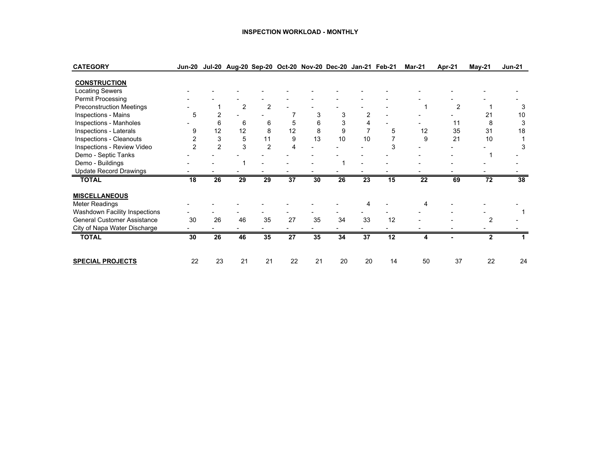#### **INSPECTION WORKLOAD - MONTHLY**

| <b>CATEGORY</b>                    | <b>Jun-20</b> |                | Jul-20 Aug-20 Sep-20 Oct-20 Nov-20 Dec-20 Jan-21 Feb-21 |                |    |    |    |                 |    | <b>Mar-21</b> | Apr-21         | <b>May-21</b> | <b>Jun-21</b> |
|------------------------------------|---------------|----------------|---------------------------------------------------------|----------------|----|----|----|-----------------|----|---------------|----------------|---------------|---------------|
| <b>CONSTRUCTION</b>                |               |                |                                                         |                |    |    |    |                 |    |               |                |               |               |
| <b>Locating Sewers</b>             |               |                |                                                         |                |    |    |    |                 |    |               |                |               |               |
| Permit Processing                  |               |                |                                                         |                |    |    |    |                 |    |               |                |               |               |
| <b>Preconstruction Meetings</b>    |               |                | 2                                                       | 2              |    |    |    |                 |    |               | $\overline{2}$ |               |               |
| Inspections - Mains                | 5             | 2              |                                                         |                |    | 3  | 3  | 2               |    |               |                | 21            | 10            |
| Inspections - Manholes             |               | 6              | 6                                                       | 6              | 5  | 6  | 3  | 4               |    |               | 11             | 8             | 3             |
| Inspections - Laterals             | 9             | 12             | 12                                                      | 8              | 12 | 8  | 9  | 7               | 5  | 12            | 35             | 31            | 18            |
| Inspections - Cleanouts            | 2             | 3              | 5                                                       | 11             | 9  | 13 | 10 | 10              |    | 9             | 21             | 10            |               |
| Inspections - Review Video         | 2             | $\overline{2}$ | 3                                                       | $\overline{2}$ | 4  |    |    |                 | 3  |               |                |               | 3             |
| Demo - Septic Tanks                |               |                |                                                         |                |    |    |    |                 |    |               |                |               |               |
| Demo - Buildings                   |               |                |                                                         |                |    |    |    |                 |    |               |                |               |               |
| <b>Update Record Drawings</b>      |               |                |                                                         |                |    |    |    |                 |    |               |                |               |               |
| <b>TOTAL</b>                       | 18            | 26             | 29                                                      | 29             | 37 | 30 | 26 | 23              | 15 | 22            | 69             | 72            | 38            |
| <b>MISCELLANEOUS</b>               |               |                |                                                         |                |    |    |    |                 |    |               |                |               |               |
| Meter Readings                     |               |                |                                                         |                |    |    |    | 4               |    |               |                |               |               |
| Washdown Facility Inspections      |               |                |                                                         |                |    |    |    |                 |    |               |                |               |               |
| <b>General Customer Assistance</b> | 30            | 26             | 46                                                      | 35             | 27 | 35 | 34 | 33              | 12 |               |                | 2             |               |
| City of Napa Water Discharge       |               |                |                                                         |                |    |    |    |                 |    |               |                |               |               |
| <b>TOTAL</b>                       | 30            | 26             | 46                                                      | 35             | 27 | 35 | 34 | $\overline{37}$ | 12 | 4             |                | $\mathbf{2}$  |               |
| <b>SPECIAL PROJECTS</b>            | 22            | 23             | 21                                                      | 21             | 22 | 21 | 20 | 20              | 14 | 50            | 37             | 22            | 24            |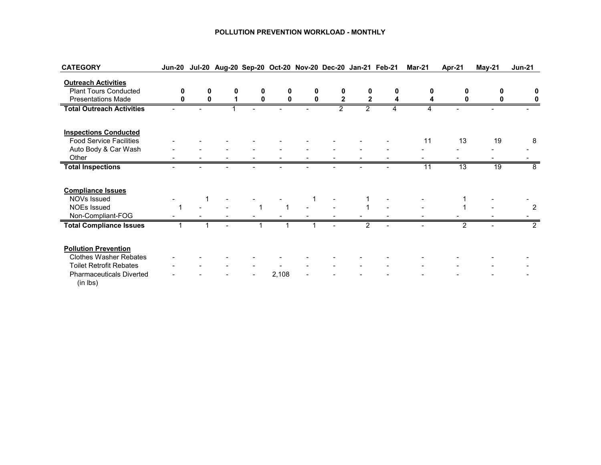#### **POLLUTION PREVENTION WORKLOAD - MONTHLY**

| <b>CATEGORY</b>                             |   |   |   |       |                |              | Jun-20 Jul-20 Aug-20 Sep-20 Oct-20 Nov-20 Dec-20 Jan-21 Feb-21 | <b>Mar-21</b> | Apr-21 | May-21 | <b>Jun-21</b> |
|---------------------------------------------|---|---|---|-------|----------------|--------------|----------------------------------------------------------------|---------------|--------|--------|---------------|
| <b>Outreach Activities</b>                  |   |   |   |       |                |              |                                                                |               |        |        |               |
| <b>Plant Tours Conducted</b>                | O | 0 | n | 0     | 0              | 0            |                                                                |               | 0      |        |               |
| <b>Presentations Made</b>                   |   |   |   |       | $\mathbf{2}$   | $\mathbf{2}$ |                                                                |               |        |        |               |
| <b>Total Outreach Activities</b>            |   |   |   |       | $\mathfrak{p}$ | 2            |                                                                |               |        |        |               |
| <b>Inspections Conducted</b>                |   |   |   |       |                |              |                                                                |               |        |        |               |
| <b>Food Service Facilities</b>              |   |   |   |       |                |              |                                                                | 11            | 13     | 19     | 8             |
| Auto Body & Car Wash                        |   |   |   |       |                |              |                                                                |               |        |        |               |
| Other                                       |   |   |   |       |                |              |                                                                |               |        |        |               |
| <b>Total Inspections</b>                    |   |   |   |       |                |              |                                                                | 11            | 13     | 19     | 8             |
| <b>Compliance Issues</b>                    |   |   |   |       |                |              |                                                                |               |        |        |               |
| NOVs Issued                                 |   |   |   |       |                |              |                                                                |               |        |        |               |
| <b>NOEs Issued</b>                          |   |   |   |       |                |              |                                                                |               |        |        | 2             |
| Non-Compliant-FOG                           |   |   |   |       |                |              |                                                                |               |        |        |               |
| <b>Total Compliance Issues</b>              |   |   |   |       |                |              |                                                                |               |        |        | 2             |
| <b>Pollution Prevention</b>                 |   |   |   |       |                |              |                                                                |               |        |        |               |
| <b>Clothes Washer Rebates</b>               |   |   |   |       |                |              |                                                                |               |        |        |               |
| <b>Toilet Retrofit Rebates</b>              |   |   |   |       |                |              |                                                                |               |        |        |               |
| <b>Pharmaceuticals Diverted</b><br>(in lbs) |   |   |   | 2,108 |                |              |                                                                |               |        |        |               |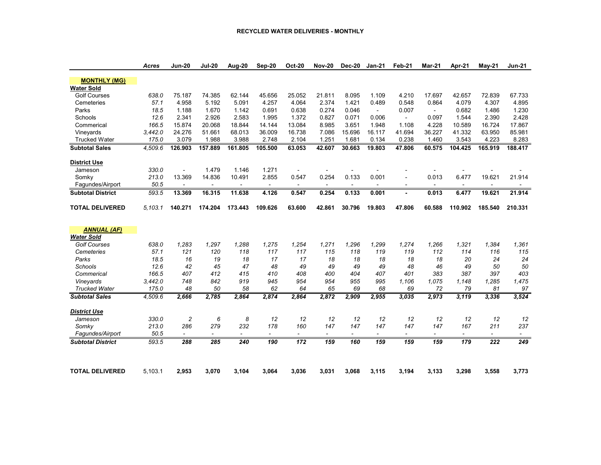#### **RECYCLED WATER DELIVERIES - MONTHLY**

|                          | Acres         | <b>Jun-20</b>            | <b>Jul-20</b>            | <b>Aug-20</b>            | Sep-20                   | <b>Oct-20</b>  | <b>Nov-20</b>            | <b>Dec-20</b>            | <b>Jan-21</b>            | Feb-21                   | Mar-21                            | Apr-21                   | <b>May-21</b>            | <b>Jun-21</b>            |
|--------------------------|---------------|--------------------------|--------------------------|--------------------------|--------------------------|----------------|--------------------------|--------------------------|--------------------------|--------------------------|-----------------------------------|--------------------------|--------------------------|--------------------------|
|                          |               |                          |                          |                          |                          |                |                          |                          |                          |                          |                                   |                          |                          |                          |
| <b>MONTHLY (MG)</b>      |               |                          |                          |                          |                          |                |                          |                          |                          |                          |                                   |                          |                          |                          |
| <b>Water Sold</b>        |               | 75.187                   | 74.385                   |                          | 45.656                   | 25.052         | 21.811                   | 8.095                    | 1.109                    | 4.210                    | 17.697                            | 42.657                   | 72.839                   | 67.733                   |
| <b>Golf Courses</b>      | 638.0<br>57.1 | 4.958                    | 5.192                    | 62.144<br>5.091          | 4.257                    | 4.064          | 2.374                    | 1.421                    | 0.489                    | 0.548                    | 0.864                             | 4.079                    | 4.307                    | 4.895                    |
| Cemeteries               |               |                          |                          |                          |                          |                |                          |                          |                          | 0.007                    |                                   |                          |                          | 1.230                    |
| Parks<br>Schools         | 18.5<br>12.6  | 1.188<br>2.341           | 1.670<br>2.926           | 1.142<br>2.583           | 0.691<br>1.995           | 0.638<br>1.372 | 0.274<br>0.827           | 0.046<br>0.071           | $\sim$<br>0.006          | $\overline{\phantom{0}}$ | $\overline{\phantom{a}}$<br>0.097 | 0.682<br>1.544           | 1.486<br>2.390           | 2.428                    |
| Commerical               | 166.5         | 15.874                   | 20.068                   | 18.844                   | 14.144                   | 13.084         | 8.985                    | 3.651                    | 1.948                    | 1.108                    | 4.228                             | 10.589                   | 16.724                   | 17.867                   |
| Vineyards                | 3,442.0       | 24.276                   | 51.661                   | 68.013                   | 36.009                   | 16.738         | 7.086                    | 15.696                   | 16.117                   | 41.694                   | 36.227                            | 41.332                   | 63.950                   | 85.981                   |
|                          | 175.0         | 3.079                    | 1.988                    | 3.988                    | 2.748                    | 2.104          | 1.251                    | 1.681                    | 0.134                    | 0.238                    | 1.460                             | 3.543                    | 4.223                    | 8.283                    |
| <b>Trucked Water</b>     |               |                          |                          |                          |                          |                |                          |                          |                          |                          |                                   |                          |                          |                          |
| <b>Subtotal Sales</b>    | 4.509.6       | 126.903                  | 157.889                  | 161.805                  | 105.500                  | 63.053         | 42.607                   | 30.663                   | 19.803                   | 47.806                   | 60.575                            | 104.425                  | 165.919                  | 188.417                  |
| <b>District Use</b>      |               |                          |                          |                          |                          |                |                          |                          |                          |                          |                                   |                          |                          |                          |
| Jameson                  | 330.0         | $\overline{a}$           | 1.479                    | 1.146                    | 1.271                    |                |                          |                          |                          |                          |                                   |                          |                          |                          |
| Somky                    | 213.0         | 13.369                   | 14.836                   | 10.491                   | 2.855                    | 0.547          | 0.254                    | 0.133                    | 0.001                    | $\overline{a}$           | 0.013                             | 6.477                    | 19.621                   | 21.914                   |
| Fagundes/Airport         | 50.5          |                          |                          |                          |                          |                | $\overline{a}$           |                          |                          | $\blacksquare$           | $\blacksquare$                    |                          |                          |                          |
| <b>Subtotal District</b> | 593.5         | 13.369                   | 16.315                   | 11.638                   | 4.126                    | 0.547          | 0.254                    | 0.133                    | 0.001                    | ۰                        | 0.013                             | 6.477                    | 19.621                   | 21.914                   |
| <b>TOTAL DELIVERED</b>   | 5.103.1       | 140.271                  | 174.204                  | 173.443                  | 109.626                  | 63.600         | 42.861                   | 30.796                   | 19.803                   | 47.806                   | 60.588                            | 110.902                  | 185.540                  | 210.331                  |
|                          |               |                          |                          |                          |                          |                |                          |                          |                          |                          |                                   |                          |                          |                          |
| <b>ANNUAL (AF)</b>       |               |                          |                          |                          |                          |                |                          |                          |                          |                          |                                   |                          |                          |                          |
| <b>Water Sold</b>        |               |                          |                          |                          |                          |                |                          |                          |                          |                          |                                   |                          |                          |                          |
| Golf Courses             | 638.0         | 1,283                    | 1,297                    | 1.288                    | 1,275                    | 1,254          | 1,271                    | 1.296                    | 1.299                    | 1,274                    | 1.266                             | 1,321                    | 1,384                    | 1,361                    |
| Cemeteries               | 57.1          | 121                      | 120                      | 118                      | 117                      | 117            | 115                      | 118                      | 119                      | 119                      | 112                               | 114                      | 116                      | 115                      |
| Parks                    | 18.5          | 16                       | 19                       | 18                       | 17                       | 17             | 18                       | 18                       | 18                       | 18                       | 18                                | 20                       | 24                       | 24                       |
| Schools                  | 12.6          | 42                       | 45                       | 47                       | 48                       | 49             | 49                       | 49                       | 49                       | 48                       | 46                                | 49                       | 50                       | 50                       |
| Commerical               | 166.5         | 407                      | 412                      | 415                      | 410                      | 408            | 400                      | 404                      | 407                      | 401                      | 383                               | 387                      | 397                      | 403                      |
| Vineyards                | 3,442.0       | 748                      | 842                      | 919                      | 945                      | 954            | 954                      | 955                      | 995                      | 1.106                    | 1.075                             | 1,148                    | 1,285                    | 1,475                    |
| <b>Trucked Water</b>     | 175.0         | 48                       | 50                       | 58                       | 62                       | 64             | 65                       | 69                       | 68                       | 69                       | 72                                | 79                       | 81                       | 97                       |
| <b>Subtotal Sales</b>    | 4,509.6       | 2,666                    | 2,785                    | 2,864                    | 2,874                    | 2,864          | 2,872                    | 2,909                    | 2,955                    | 3,035                    | 2,973                             | 3,119                    | 3,336                    | 3,524                    |
|                          |               |                          |                          |                          |                          |                |                          |                          |                          |                          |                                   |                          |                          |                          |
| <b>District Use</b>      |               |                          |                          |                          |                          |                | 12                       |                          |                          |                          |                                   | 12                       |                          |                          |
| Jameson                  | 330.0         | $\overline{c}$           | 6                        | 8                        | 12                       | 12             |                          | 12                       | 12                       | 12                       | 12                                |                          | 12                       | 12                       |
| Somky                    | 213.0         | 286                      | 279                      | 232                      | 178                      | 160            | 147                      | 147                      | 147                      | 147                      | 147                               | 167                      | 211                      | 237                      |
| Fagundes/Airport         | 50.5          | $\overline{\phantom{a}}$ | $\overline{\phantom{a}}$ | $\overline{\phantom{a}}$ | $\overline{\phantom{a}}$ | $\sim$         | $\overline{\phantom{a}}$ | $\overline{\phantom{a}}$ | $\overline{\phantom{a}}$ | $\overline{\phantom{a}}$ | $\overline{\phantom{a}}$          | $\overline{\phantom{a}}$ | $\overline{\phantom{a}}$ | $\overline{\phantom{a}}$ |
| <b>Subtotal District</b> | 593.5         | 288                      | 285                      | 240                      | 190                      | 172            | 159                      | 160                      | 159                      | 159                      | 159                               | 179                      | 222                      | 249                      |
|                          |               |                          |                          |                          |                          |                |                          |                          |                          |                          |                                   |                          |                          |                          |
| <b>TOTAL DELIVERED</b>   | 5,103.1       | 2,953                    | 3,070                    | 3,104                    | 3,064                    | 3,036          | 3,031                    | 3,068                    | 3,115                    | 3,194                    | 3,133                             | 3,298                    | 3,558                    | 3,773                    |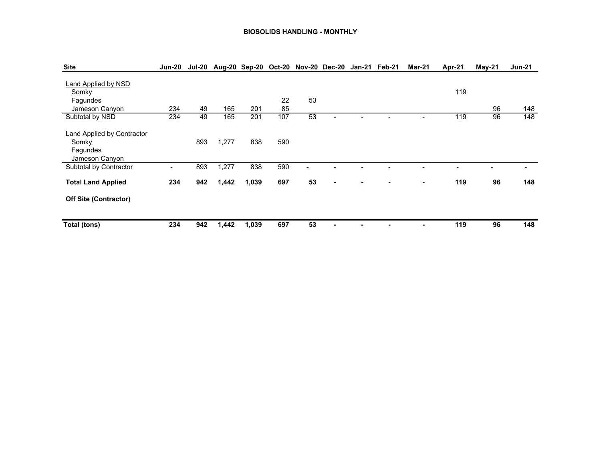#### **BIOSOLIDS HANDLING - MONTHLY**

| <b>Site</b>                                                              | Jun-20         |     | Jul-20 Aug-20 Sep-20 Oct-20 Nov-20 Dec-20 Jan-21 Feb-21 |       |     |                |  | Mar-21                   | Apr-21 | $May-21$ | <b>Jun-21</b> |
|--------------------------------------------------------------------------|----------------|-----|---------------------------------------------------------|-------|-----|----------------|--|--------------------------|--------|----------|---------------|
| <b>Land Applied by NSD</b><br>Somky<br>Fagundes                          |                |     |                                                         |       | 22  | 53             |  |                          | 119    |          |               |
| Jameson Canyon                                                           | 234            | 49  | 165                                                     | 201   | 85  |                |  |                          |        | 96       | 148           |
| Subtotal by NSD                                                          | 234            | 49  | 165                                                     | 201   | 107 | 53             |  | $\overline{\phantom{0}}$ | 119    | 96       | 148           |
| <b>Land Applied by Contractor</b><br>Somky<br>Fagundes<br>Jameson Canyon |                | 893 | 1,277                                                   | 838   | 590 |                |  |                          |        |          |               |
| Subtotal by Contractor                                                   | $\blacksquare$ | 893 | 1,277                                                   | 838   | 590 | $\blacksquare$ |  |                          |        |          |               |
| <b>Total Land Applied</b>                                                | 234            | 942 | 1,442                                                   | 1,039 | 697 | 53             |  | -                        | 119    | 96       | 148           |
| <b>Off Site (Contractor)</b>                                             |                |     |                                                         |       |     |                |  |                          |        |          |               |
| Total (tons)                                                             | 234            | 942 | 1,442                                                   | 1,039 | 697 | 53             |  | $\blacksquare$           | 119    | 96       | 148           |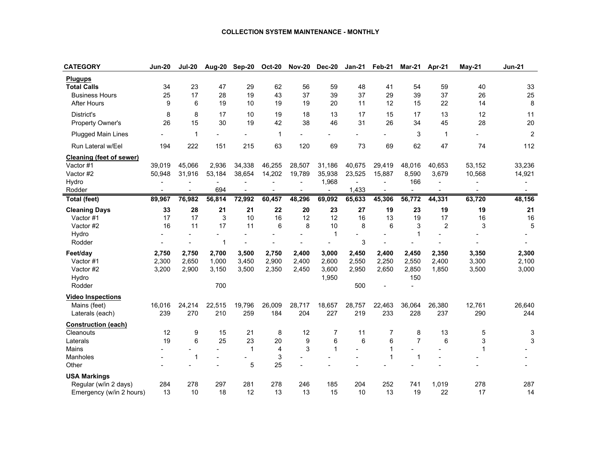#### **COLLECTION SYSTEM MAINTENANCE - MONTHLY**

| <b>CATEGORY</b>                 | <b>Jun-20</b> | <b>Jul-20</b>  | Aug-20         | <b>Sep-20</b>  | <b>Oct-20</b>            | <b>Nov-20</b>  | <b>Dec-20</b>  | <b>Jan-21</b>  | Feb-21         | <b>Mar-21</b>  | Apr-21         | May-21         | <b>Jun-21</b>            |
|---------------------------------|---------------|----------------|----------------|----------------|--------------------------|----------------|----------------|----------------|----------------|----------------|----------------|----------------|--------------------------|
| <b>Plugups</b>                  |               |                |                |                |                          |                |                |                |                |                |                |                |                          |
| <b>Total Calls</b>              | 34            | 23             | 47             | 29             | 62                       | 56             | 59             | 48             | 41             | 54             | 59             | 40             | 33                       |
| <b>Business Hours</b>           | 25            | 17             | 28             | 19             | 43                       | 37             | 39             | 37             | 29             | 39             | 37             | 26             | 25                       |
| <b>After Hours</b>              | 9             | 6              | 19             | 10             | 19                       | 19             | 20             | 11             | 12             | 15             | 22             | 14             | 8                        |
| District's                      | 8             | 8              | 17             | 10             | 19                       | 18             | 13             | 17             | 15             | 17             | 13             | 12             | 11                       |
| Property Owner's                | 26            | 15             | 30             | 19             | 42                       | 38             | 46             | 31             | 26             | 34             | 45             | 28             | 20                       |
| <b>Plugged Main Lines</b>       |               | $\overline{1}$ |                |                | 1                        |                |                |                |                | 3              | $\mathbf 1$    |                | 2                        |
| Run Lateral w/Eel               | 194           | 222            | 151            | 215            | 63                       | 120            | 69             | 73             | 69             | 62             | 47             | 74             | 112                      |
| <b>Cleaning (feet of sewer)</b> |               |                |                |                |                          |                |                |                |                |                |                |                |                          |
| Vactor #1                       | 39,019        | 45,066         | 2,936          | 34,338         | 46,255                   | 28,507         | 31,186         | 40,675         | 29,419         | 48,016         | 40,653         | 53,152         | 33,236                   |
| Vactor #2                       | 50,948        | 31,916         | 53,184         | 38,654         | 14,202                   | 19,789         | 35,938         | 23,525         | 15,887         | 8,590          | 3,679          | 10,568         | 14,921                   |
| Hydro                           |               |                | $\blacksquare$ | $\blacksquare$ |                          | $\blacksquare$ | 1,968          | $\overline{a}$ | $\blacksquare$ | 166            |                |                |                          |
| Rodder                          |               | $\blacksquare$ | 694            | $\blacksquare$ | $\overline{\phantom{a}}$ | $\blacksquare$ | $\blacksquare$ | 1,433          | $\blacksquare$ | $\blacksquare$ | $\blacksquare$ | $\blacksquare$ | $\overline{\phantom{0}}$ |
| Total (feet)                    | 89,967        | 76,982         | 56,814         | 72,992         | 60,457                   | 48,296         | 69,092         | 65,633         | 45,306         | 56,772         | 44,331         | 63,720         | 48,156                   |
| <b>Cleaning Days</b>            | 33            | 28             | 21             | 21             | 22                       | 20             | 23             | 27             | 19             | 23             | 19             | 19             | 21                       |
| Vactor #1                       | 17            | 17             | 3              | 10             | 16                       | 12             | 12             | 16             | 13             | 19             | 17             | 16             | 16                       |
| Vactor #2                       | 16            | 11             | 17             | 11             | 6                        | 8              | 10             | 8              | 6              | 3              | $\overline{c}$ | 3              | 5                        |
| Hydro                           |               |                |                |                |                          |                | 1              |                |                |                |                |                |                          |
| Rodder                          |               |                | 1              |                |                          |                |                | 3              |                |                |                |                |                          |
| Feet/day                        | 2,750         | 2,750          | 2,700          | 3,500          | 2,750                    | 2,400          | 3,000          | 2,450          | 2,400          | 2,450          | 2,350          | 3,350          | 2,300                    |
| Vactor #1                       | 2,300         | 2,650          | 1,000          | 3,450          | 2,900                    | 2,400          | 2,600          | 2,550          | 2,250          | 2,550          | 2,400          | 3,300          | 2,100                    |
| Vactor #2                       | 3,200         | 2,900          | 3,150          | 3,500          | 2,350                    | 2,450          | 3,600          | 2,950          | 2,650          | 2,850          | 1,850          | 3,500          | 3,000                    |
| Hydro                           |               |                |                |                |                          |                | 1,950          |                |                | 150            |                |                |                          |
| Rodder                          |               |                | 700            |                |                          |                |                | 500            |                |                |                |                |                          |
| <b>Video Inspections</b>        |               |                |                |                |                          |                |                |                |                |                |                |                |                          |
| Mains (feet)                    | 16,016        | 24,214         | 22,515         | 19,796         | 26,009                   | 28,717         | 18,657         | 28,757         | 22,463         | 36,064         | 26,380         | 12,761         | 26,640                   |
| Laterals (each)                 | 239           | 270            | 210            | 259            | 184                      | 204            | 227            | 219            | 233            | 228            | 237            | 290            | 244                      |
| <b>Construction (each)</b>      |               |                |                |                |                          |                |                |                |                |                |                |                |                          |
| Cleanouts                       | 12            | 9              | 15             | 21             | 8                        | 12             | $\overline{7}$ | 11             | $\overline{7}$ | 8              | 13             | 5              | 3                        |
| Laterals                        | 19            | 6              | 25             | 23             | 20                       | 9              | 6              | 6              | 6              | $\overline{7}$ | 6              | 3              | 3                        |
| Mains                           |               |                |                | $\mathbf{1}$   | 4                        | 3              | $\mathbf{1}$   |                | $\overline{1}$ |                |                | $\mathbf{1}$   |                          |
| Manholes                        |               | $\overline{1}$ |                |                | 3                        |                |                |                | 1              | 1              |                |                |                          |
| Other                           |               |                |                | 5              | 25                       |                |                |                |                |                |                |                |                          |
| <b>USA Markings</b>             |               |                |                |                |                          |                |                |                |                |                |                |                |                          |
| Regular (w/in 2 days)           | 284           | 278            | 297            | 281            | 278                      | 246            | 185            | 204            | 252            | 741            | 1,019          | 278            | 287                      |
| Emergency (w/in 2 hours)        | 13            | 10             | 18             | 12             | 13                       | 13             | 15             | 10             | 13             | 19             | 22             | 17             | 14                       |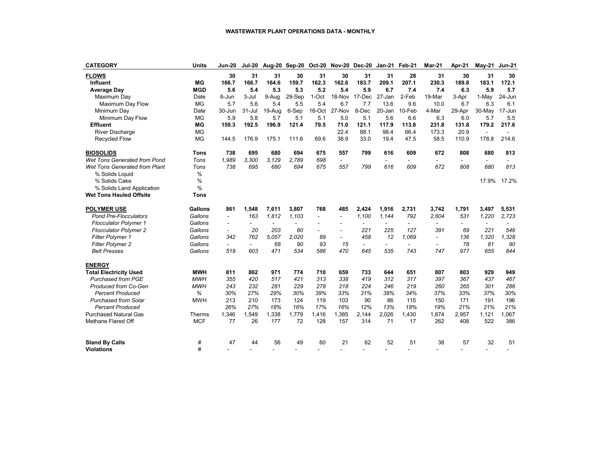| <b>CATEGORY</b>                | Units          | Jun-20                   | <b>Jul-20</b>            |                          | Aug-20 Sep-20            |                | <b>Oct-20 Nov-20 Dec-20</b> |                          | Jan-21                   | Feb-21                   | Mar-21         | Apr-21                   | May-21                   | <b>Jun-21</b>  |
|--------------------------------|----------------|--------------------------|--------------------------|--------------------------|--------------------------|----------------|-----------------------------|--------------------------|--------------------------|--------------------------|----------------|--------------------------|--------------------------|----------------|
| <b>FLOWS</b>                   |                | 30                       | 31                       | 31                       | 30                       | 31             | 30                          | 31                       | 31                       | 28                       | 31             | 30                       | 31                       | 30             |
| <b>Influent</b>                | MG             | 166.7                    | 166.7                    | 164.6                    | 159.7                    | 162.3          | 162.6                       | 183.7                    | 209.1                    | 207.1                    | 230.3          | 189.8                    | 183.1                    | 172.1          |
| <b>Average Day</b>             | <b>MGD</b>     | 5.6                      | 5.4                      | 5.3                      | 5.3                      | 5.2            | 5.4                         | 5.9                      | 6.7                      | 7.4                      | 7.4            | 6.3                      | 5.9                      | 5.7            |
| Maximum Day                    | Date           | 6-Jun                    | 3-Jul                    | 9-Aug                    | 29-Sep                   | 1-Oct          | 18-Nov                      | 17-Dec                   | 27-Jan                   | 2-Feb                    | 19-Mar         | 3-Apr                    | 1-May                    | 24-Jun         |
| Maximum Day Flow               | <b>MG</b>      | 5.7                      | 5.6                      | 5.4                      | 5.5                      | 5.4            | 6.7                         | 7.7                      | 13.6                     | 9.6                      | 10.0           | 6.7                      | 6.3                      | 6.1            |
| Minimum Day                    | Date           | 30-Jun                   | $31 -$ Jul               | 19-Aug                   | 6-Sep                    | 16-Oct         | 27-Nov                      | 8-Dec                    | 20-Jan                   | 10-Feb                   | 4-Mar          | 29-Apr                   | 30-May                   | 17-Jun         |
| Minimum Day Flow               | <b>MG</b>      | 5.9                      | 5.8                      | 5.7                      | 5.1                      | 5.1            | 5.0                         | 5.1                      | 5.6                      | 6.6                      | 6.3            | 6.0                      | 5.7                      | 5.5            |
| <b>Effluent</b>                | МG             | 159.3                    | 192.5                    | 196.9                    | 121.4                    | 79.5           | 71.0                        | 121.1                    | 117.9                    | 113.8                    | 231.8          | 131.8                    | 179.2                    | 217.6          |
| <b>River Discharge</b>         | <b>MG</b>      |                          |                          |                          |                          |                | 22.4                        | 88.1                     | 98.4                     | 66.4                     | 173.3          | 20.9                     |                          | $\blacksquare$ |
| <b>Recycled Flow</b>           | <b>MG</b>      | 144.5                    | 176.9                    | 175.1                    | 111.6                    | 69.6           | 38.9                        | 33.0                     | 19.4                     | 47.5                     | 58.5           | 110.9                    | 178.8                    | 214.6          |
| <b>BIOSOLIDS</b>               | <b>Tons</b>    | 738                      | 695                      | 680                      | 694                      | 675            | 557                         | 799                      | 616                      | 609                      | 672            | 808                      | 680                      | 813            |
| Wet Tons Generated from Pond   | Tons           | 1,989                    | 3,300                    | 3.129                    | 2,789                    | 698            | $\overline{\phantom{a}}$    |                          | $\overline{\phantom{a}}$ | $\overline{\phantom{0}}$ |                | $\overline{\phantom{a}}$ |                          |                |
| Wet Tons Generated from Plant  | Tons           | 738                      | 695                      | 680                      | 694                      | 675            | 557                         | 799                      | 616                      | 609                      | 672            | 808                      | 680                      | 813            |
| % Solids Liquid                | $\frac{0}{0}$  |                          |                          |                          |                          |                |                             |                          |                          |                          |                |                          |                          |                |
| % Solids Cake                  | $\%$           |                          |                          |                          |                          |                |                             |                          |                          |                          |                |                          | 17.9%                    | 17.2%          |
| % Solids Land Application      | $\%$           |                          |                          |                          |                          |                |                             |                          |                          |                          |                |                          |                          |                |
| <b>Wet Tons Hauled Offsite</b> | <b>Tons</b>    |                          |                          |                          |                          |                |                             |                          |                          |                          |                |                          |                          |                |
| <b>POLYMER USE</b>             | <b>Gallons</b> | 861                      | 1.548                    | 7,611                    | 3,807                    | 768            | 485                         | 2,424                    | 1,916                    | 2,731                    | 3.742          | 1,791                    | 3,497                    | 5,531          |
| <b>Pond Pre-Flocculators</b>   | Gallons        | $\overline{\phantom{a}}$ | 163                      | 1,812                    | 1,103                    | $\overline{a}$ | $\sim$                      | 1,100                    | 1,144                    | 792                      | 2,604          | 531                      | 1,220                    | 2,723          |
| <b>Flocculator Polymer 1</b>   | Gallons        | $\overline{a}$           | $\overline{\phantom{a}}$ | $\overline{\phantom{a}}$ | $\overline{\phantom{a}}$ | -              |                             | -                        | $\overline{a}$           | ۰                        |                | $\overline{\phantom{a}}$ | $\overline{\phantom{a}}$ |                |
| <b>Flocculator Polymer 2</b>   | Gallons        | $\overline{\phantom{0}}$ | 20                       | 203                      | 60                       | -              | $\overline{\phantom{a}}$    | 221                      | 225                      | 127                      | 391            | 69                       | 221                      | 546            |
| <b>Filter Polymer 1</b>        | Gallons        | 342                      | 762                      | 5.057                    | 2.020                    | 89             | $\overline{\phantom{a}}$    | 458                      | 12                       | 1.069                    | $\overline{a}$ | 136                      | 1.320                    | 1,328          |
| <b>Filter Polymer 2</b>        | Gallons        | $\overline{\phantom{0}}$ | $\overline{\phantom{0}}$ | 68                       | 90                       | 93             | 15                          | $\overline{\phantom{a}}$ | $\overline{\phantom{0}}$ | $\overline{\phantom{a}}$ |                | 78                       | 81                       | 90             |
| <b>Belt Presses</b>            | Gallons        | 519                      | 603                      | 471                      | 534                      | 586            | 470                         | 645                      | 535                      | 743                      | 747            | 977                      | 655                      | 844            |
| <b>ENERGY</b>                  |                |                          |                          |                          |                          |                |                             |                          |                          |                          |                |                          |                          |                |
| <b>Total Electricity Used</b>  | <b>MWH</b>     | 811                      | 862                      | 971                      | 774                      | 710            | 659                         | 733                      | 644                      | 651                      | 807            | 803                      | 929                      | 949            |
| <b>Purchased from PGE</b>      | <b>MWH</b>     | 355                      | 420                      | 517                      | 421                      | 313            | 338                         | 419                      | 312                      | 317                      | 397            | 367                      | 437                      | 467            |
| Produced from Co-Gen           | <b>MWH</b>     | 243                      | 232                      | 281                      | 229                      | 278            | 218                         | 224                      | 246                      | 219                      | 260            | 265                      | 301                      | 286            |
| <b>Percent Produced</b>        | %              | 30%                      | 27%                      | 29%                      | 30%                      | 39%            | 33%                         | 31%                      | 38%                      | 34%                      | 37%            | 33%                      | 37%                      | 30%            |
| <b>Purchased from Solar</b>    | <b>MWH</b>     | 213                      | 210                      | 173                      | 124                      | 119            | 103                         | 90                       | 86                       | 115                      | 150            | 171                      | 191                      | 196            |
| <b>Percent Produced</b>        |                | 26%                      | 27%                      | 18%                      | 16%                      | 17%            | 16%                         | 12%                      | 13%                      | 18%                      | 19%            | 21%                      | 21%                      | 21%            |
| <b>Purchased Natural Gas</b>   | Therms         | 1,346                    | 1,549                    | 1,338                    | 1,779                    | 1,416          | 1,385                       | 2,144                    | 2,026                    | 1,430                    | 1,874          | 2,957                    | 1,121                    | 1,067          |
| Methane Flared Off             | <b>MCF</b>     | 77                       | 26                       | 177                      | 72                       | 128            | 157                         | 314                      | 71                       | 17                       | 262            | 408                      | 522                      | 386            |
| <b>Stand By Calls</b>          | #              | 47                       | 44                       | 56                       | 49                       | 60             | 21                          | 62                       | 52                       | 51                       | 38             | 57                       | 32                       | 51             |
| <b>Violations</b>              | #              |                          |                          |                          |                          |                |                             |                          |                          |                          |                |                          |                          |                |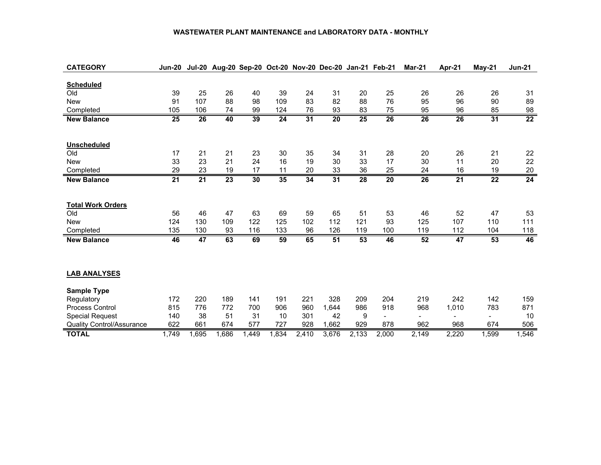#### **WASTEWATER PLANT MAINTENANCE and LABORATORY DATA - MONTHLY**

| <b>CATEGORY</b>                  | Jun-20          |       | Jul-20 Aug-20 Sep-20 Oct-20 Nov-20 Dec-20 Jan-21 Feb-21 |                 |                 |                 |                 |                 |                          | Mar-21         | Apr-21 | $May-21$                 | <b>Jun-21</b>   |
|----------------------------------|-----------------|-------|---------------------------------------------------------|-----------------|-----------------|-----------------|-----------------|-----------------|--------------------------|----------------|--------|--------------------------|-----------------|
|                                  |                 |       |                                                         |                 |                 |                 |                 |                 |                          |                |        |                          |                 |
| <b>Scheduled</b>                 |                 |       |                                                         |                 |                 |                 |                 |                 |                          |                |        |                          |                 |
| Old                              | 39              | 25    | 26                                                      | 40              | 39              | 24              | 31              | 20              | 25                       | 26             | 26     | 26                       | 31              |
| <b>New</b>                       | 91              | 107   | 88                                                      | 98              | 109             | 83              | 82              | 88              | 76                       | 95             | 96     | 90                       | 89              |
| Completed                        | 105             | 106   | 74                                                      | 99              | 124             | 76              | 93              | 83              | 75                       | 95             | 96     | 85                       | 98              |
| <b>New Balance</b>               | 25              | 26    | 40                                                      | $\overline{39}$ | $\overline{24}$ | $\overline{31}$ | $\overline{20}$ | $\overline{25}$ | 26                       | 26             | 26     | 31                       | $\overline{22}$ |
|                                  |                 |       |                                                         |                 |                 |                 |                 |                 |                          |                |        |                          |                 |
|                                  |                 |       |                                                         |                 |                 |                 |                 |                 |                          |                |        |                          |                 |
| Unscheduled                      |                 |       |                                                         |                 |                 |                 |                 |                 |                          |                |        |                          |                 |
| Old                              | 17              | 21    | 21                                                      | 23              | 30              | 35              | 34              | 31              | 28                       | 20             | 26     | 21                       | 22              |
| <b>New</b>                       | 33              | 23    | 21                                                      | 24              | 16              | 19              | 30              | 33              | 17                       | 30             | 11     | 20                       | 22              |
| Completed                        | 29              | 23    | 19                                                      | 17              | 11              | 20              | 33              | 36              | 25                       | 24             | 16     | 19                       | 20              |
| <b>New Balance</b>               | $\overline{21}$ | 21    | 23                                                      | 30              | 35              | 34              | 31              | 28              | 20                       | 26             | 21     | 22                       | 24              |
|                                  |                 |       |                                                         |                 |                 |                 |                 |                 |                          |                |        |                          |                 |
|                                  |                 |       |                                                         |                 |                 |                 |                 |                 |                          |                |        |                          |                 |
| <b>Total Work Orders</b>         |                 |       |                                                         |                 |                 |                 |                 |                 |                          |                |        |                          |                 |
| Old                              | 56              | 46    | 47                                                      | 63              | 69              | 59              | 65              | 51              | 53                       | 46             | 52     | 47                       | 53              |
| <b>New</b>                       | 124             | 130   | 109                                                     | 122             | 125             | 102             | 112             | 121             | 93                       | 125            | 107    | 110                      | 111             |
| Completed                        | 135             | 130   | 93                                                      | 116             | 133             | 96              | 126             | 119             | 100                      | 119            | 112    | 104                      | 118             |
| <b>New Balance</b>               | 46              | 47    | 63                                                      | 69              | 59              | 65              | 51              | 53              | 46                       | 52             | 47     | 53                       | 46              |
|                                  |                 |       |                                                         |                 |                 |                 |                 |                 |                          |                |        |                          |                 |
|                                  |                 |       |                                                         |                 |                 |                 |                 |                 |                          |                |        |                          |                 |
|                                  |                 |       |                                                         |                 |                 |                 |                 |                 |                          |                |        |                          |                 |
| <b>LAB ANALYSES</b>              |                 |       |                                                         |                 |                 |                 |                 |                 |                          |                |        |                          |                 |
| <b>Sample Type</b>               |                 |       |                                                         |                 |                 |                 |                 |                 |                          |                |        |                          |                 |
| Regulatory                       | 172             | 220   | 189                                                     | 141             | 191             | 221             | 328             | 209             | 204                      | 219            | 242    | 142                      | 159             |
| <b>Process Control</b>           | 815             | 776   | 772                                                     | 700             | 906             | 960             | 1,644           | 986             | 918                      | 968            | 1,010  | 783                      | 871             |
| <b>Special Request</b>           | 140             | 38    | 51                                                      | 31              | 10              | 301             | 42              | 9               | $\overline{\phantom{a}}$ | $\blacksquare$ |        | $\overline{\phantom{a}}$ | 10              |
| <b>Quality Control/Assurance</b> | 622             | 661   | 674                                                     | 577             | 727             | 928             | 1,662           | 929             | 878                      | 962            | 968    | 674                      | 506             |
| <b>TOTAL</b>                     | 1,749           | 1,695 | 1,686                                                   | 1,449           | 1,834           | 2,410           | 3,676           | 2,133           | 2,000                    | 2,149          | 2,220  | 1,599                    | 1,546           |
|                                  |                 |       |                                                         |                 |                 |                 |                 |                 |                          |                |        |                          |                 |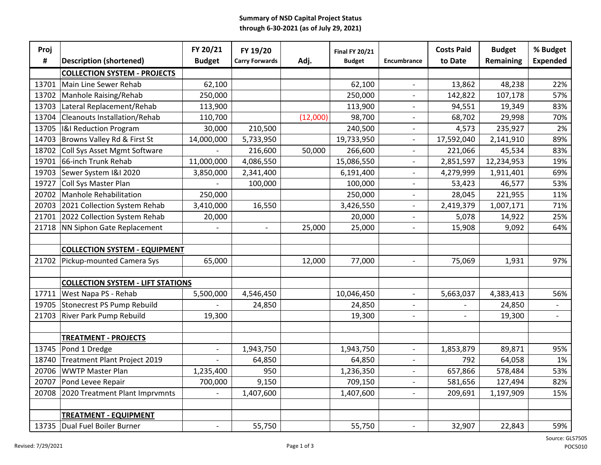#### **Summary of NSD Capital Project Status through 6-30-2021 (as of July 29, 2021)**

| Proj  |                                          | FY 20/21      | FY 19/20                 |          | <b>Final FY 20/21</b> |                          | <b>Costs Paid</b>        | <b>Budget</b> | % Budget                 |
|-------|------------------------------------------|---------------|--------------------------|----------|-----------------------|--------------------------|--------------------------|---------------|--------------------------|
| #     | <b>Description (shortened)</b>           | <b>Budget</b> | <b>Carry Forwards</b>    | Adj.     | <b>Budget</b>         | Encumbrance              | to Date                  | Remaining     | <b>Expended</b>          |
|       | <b>COLLECTION SYSTEM - PROJECTS</b>      |               |                          |          |                       |                          |                          |               |                          |
| 13701 | Main Line Sewer Rehab                    | 62,100        |                          |          | 62,100                | $\overline{\phantom{a}}$ | 13,862                   | 48,238        | 22%                      |
| 13702 | Manhole Raising/Rehab                    | 250,000       |                          |          | 250,000               | $\overline{\phantom{a}}$ | 142,822                  | 107,178       | 57%                      |
| 13703 | Lateral Replacement/Rehab                | 113,900       |                          |          | 113,900               | $\overline{\phantom{0}}$ | 94,551                   | 19,349        | 83%                      |
| 13704 | <b>Cleanouts Installation/Rehab</b>      | 110,700       |                          | (12,000) | 98,700                | $\overline{\phantom{0}}$ | 68,702                   | 29,998        | 70%                      |
| 13705 | <b>I&amp;I Reduction Program</b>         | 30,000        | 210,500                  |          | 240,500               | $\overline{\phantom{0}}$ | 4,573                    | 235,927       | 2%                       |
| 14703 | Browns Valley Rd & First St              | 14,000,000    | 5,733,950                |          | 19,733,950            | $\blacksquare$           | 17,592,040               | 2,141,910     | 89%                      |
| 18702 | Coll Sys Asset Mgmt Software             |               | 216,600                  | 50,000   | 266,600               |                          | 221,066                  | 45,534        | 83%                      |
| 19701 | 66-inch Trunk Rehab                      | 11,000,000    | 4,086,550                |          | 15,086,550            | $\blacksquare$           | 2,851,597                | 12,234,953    | 19%                      |
| 19703 | Sewer System I&I 2020                    | 3,850,000     | 2,341,400                |          | 6,191,400             | $\overline{\phantom{a}}$ | 4,279,999                | 1,911,401     | 69%                      |
| 19727 | Coll Sys Master Plan                     |               | 100,000                  |          | 100,000               | $\overline{\phantom{a}}$ | 53,423                   | 46,577        | 53%                      |
| 20702 | <b>Manhole Rehabilitation</b>            | 250,000       |                          |          | 250,000               | $\overline{\phantom{a}}$ | 28,045                   | 221,955       | 11%                      |
| 20703 | 2021 Collection System Rehab             | 3,410,000     | 16,550                   |          | 3,426,550             | $\overline{a}$           | 2,419,379                | 1,007,171     | 71%                      |
| 21701 | 2022 Collection System Rehab             | 20,000        |                          |          | 20,000                |                          | 5,078                    | 14,922        | 25%                      |
| 21718 | NN Siphon Gate Replacement               |               | $\overline{\phantom{a}}$ | 25,000   | 25,000                | $\overline{\phantom{a}}$ | 15,908                   | 9,092         | 64%                      |
|       |                                          |               |                          |          |                       |                          |                          |               |                          |
|       | <b>COLLECTION SYSTEM - EQUIPMENT</b>     |               |                          |          |                       |                          |                          |               |                          |
| 21702 | Pickup-mounted Camera Sys                | 65,000        |                          | 12,000   | 77,000                |                          | 75,069                   | 1,931         | 97%                      |
|       |                                          |               |                          |          |                       |                          |                          |               |                          |
|       | <b>COLLECTION SYSTEM - LIFT STATIONS</b> |               |                          |          |                       |                          |                          |               |                          |
| 17711 | West Napa PS - Rehab                     | 5,500,000     | 4,546,450                |          | 10,046,450            | $\overline{\phantom{a}}$ | 5,663,037                | 4,383,413     | 56%                      |
| 19705 | <b>Stonecrest PS Pump Rebuild</b>        |               | 24,850                   |          | 24,850                | $\overline{\phantom{a}}$ |                          | 24,850        | $\overline{\phantom{a}}$ |
| 21703 | River Park Pump Rebuild                  | 19,300        |                          |          | 19,300                | $\overline{\phantom{0}}$ | $\overline{\phantom{0}}$ | 19,300        | $\blacksquare$           |
|       |                                          |               |                          |          |                       |                          |                          |               |                          |
|       | <b>TREATMENT - PROJECTS</b>              |               |                          |          |                       |                          |                          |               |                          |
| 13745 | Pond 1 Dredge                            |               | 1,943,750                |          | 1,943,750             | $\overline{a}$           | 1,853,879                | 89,871        | 95%                      |
| 18740 | Treatment Plant Project 2019             |               | 64,850                   |          | 64,850                |                          | 792                      | 64,058        | 1%                       |
| 20706 | <b>WWTP Master Plan</b>                  | 1,235,400     | 950                      |          | 1,236,350             |                          | 657,866                  | 578,484       | 53%                      |
| 20707 | Pond Levee Repair                        | 700,000       | 9,150                    |          | 709,150               | $\overline{\phantom{a}}$ | 581,656                  | 127,494       | 82%                      |
| 20708 | 2020 Treatment Plant Imprvmnts           |               | 1,407,600                |          | 1,407,600             | $\overline{\phantom{a}}$ | 209,691                  | 1,197,909     | 15%                      |
|       |                                          |               |                          |          |                       |                          |                          |               |                          |
|       | <b>TREATMENT - EQUIPMENT</b>             |               |                          |          |                       |                          |                          |               |                          |
| 13735 | Dual Fuel Boiler Burner                  |               | 55,750                   |          | 55,750                |                          | 32,907                   | 22,843        | 59%                      |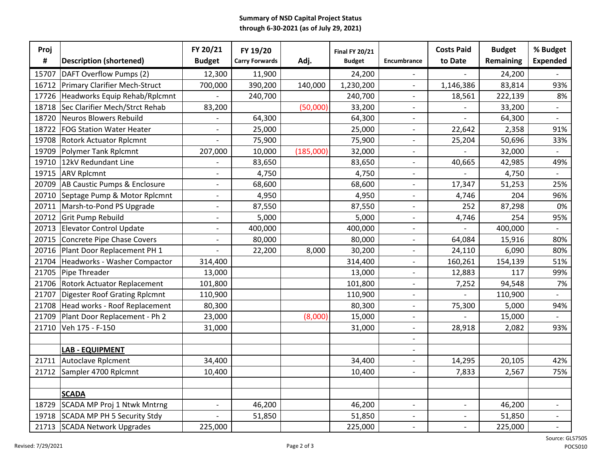#### **Summary of NSD Capital Project Status through 6-30-2021 (as of July 29, 2021)**

| Proj  |                                      | FY 20/21                 | FY 19/20              |           | <b>Final FY 20/21</b> |                          | <b>Costs Paid</b>        | <b>Budget</b> | % Budget                 |
|-------|--------------------------------------|--------------------------|-----------------------|-----------|-----------------------|--------------------------|--------------------------|---------------|--------------------------|
| #     | <b>Description (shortened)</b>       | <b>Budget</b>            | <b>Carry Forwards</b> | Adj.      | <b>Budget</b>         | Encumbrance              | to Date                  | Remaining     | <b>Expended</b>          |
| 15707 | DAFT Overflow Pumps (2)              | 12,300                   | 11,900                |           | 24,200                | $\overline{\phantom{a}}$ | $\overline{\phantom{0}}$ | 24,200        |                          |
| 16712 | Primary Clarifier Mech-Struct        | 700,000                  | 390,200               | 140,000   | 1,230,200             | $\blacksquare$           | 1,146,386                | 83,814        | 93%                      |
| 17726 | Headworks Equip Rehab/Rplcmnt        |                          | 240,700               |           | 240,700               | $\overline{\phantom{0}}$ | 18,561                   | 222,139       | 8%                       |
| 18718 | Sec Clarifier Mech/Strct Rehab       | 83,200                   |                       | (50,000)  | 33,200                | $\overline{\phantom{a}}$ |                          | 33,200        |                          |
| 18720 | Neuros Blowers Rebuild               |                          | 64,300                |           | 64,300                | $\overline{\phantom{a}}$ |                          | 64,300        |                          |
| 18722 | <b>FOG Station Water Heater</b>      |                          | 25,000                |           | 25,000                | $\overline{\phantom{a}}$ | 22,642                   | 2,358         | 91%                      |
| 19708 | <b>Rotork Actuator Rplcmnt</b>       |                          | 75,900                |           | 75,900                | $\overline{a}$           | 25,204                   | 50,696        | 33%                      |
| 19709 | Polymer Tank Rplcmnt                 | 207,000                  | 10,000                | (185,000) | 32,000                | $\overline{\phantom{a}}$ |                          | 32,000        |                          |
| 19710 | 12kV Redundant Line                  |                          | 83,650                |           | 83,650                | $\overline{\phantom{a}}$ | 40,665                   | 42,985        | 49%                      |
| 19715 | <b>ARV Rplcmnt</b>                   | $\overline{\phantom{a}}$ | 4,750                 |           | 4,750                 | $\overline{\phantom{a}}$ |                          | 4,750         |                          |
| 20709 | AB Caustic Pumps & Enclosure         | $\blacksquare$           | 68,600                |           | 68,600                | $\overline{\phantom{a}}$ | 17,347                   | 51,253        | 25%                      |
| 20710 | Septage Pump & Motor Rplcmnt         | $\overline{\phantom{a}}$ | 4,950                 |           | 4,950                 | $\overline{\phantom{a}}$ | 4,746                    | 204           | 96%                      |
| 20711 | Marsh-to-Pond PS Upgrade             | $\blacksquare$           | 87,550                |           | 87,550                | $\blacksquare$           | 252                      | 87,298        | 0%                       |
| 20712 | Grit Pump Rebuild                    | $\overline{\phantom{a}}$ | 5,000                 |           | 5,000                 | $\overline{\phantom{0}}$ | 4,746                    | 254           | 95%                      |
| 20713 | <b>Elevator Control Update</b>       | $\overline{\phantom{a}}$ | 400,000               |           | 400,000               | $\overline{\phantom{a}}$ |                          | 400,000       |                          |
| 20715 | Concrete Pipe Chase Covers           | $\overline{\phantom{a}}$ | 80,000                |           | 80,000                | $\overline{a}$           | 64,084                   | 15,916        | 80%                      |
| 20716 | Plant Door Replacement PH 1          |                          | 22,200                | 8,000     | 30,200                | $\overline{\phantom{a}}$ | 24,110                   | 6,090         | 80%                      |
| 21704 | Headworks - Washer Compactor         | 314,400                  |                       |           | 314,400               | $\blacksquare$           | 160,261                  | 154,139       | 51%                      |
| 21705 | Pipe Threader                        | 13,000                   |                       |           | 13,000                | $\overline{\phantom{a}}$ | 12,883                   | 117           | 99%                      |
| 21706 | <b>Rotork Actuator Replacement</b>   | 101,800                  |                       |           | 101,800               | $\overline{\phantom{a}}$ | 7,252                    | 94,548        | 7%                       |
| 21707 | <b>Digester Roof Grating Rplcmnt</b> | 110,900                  |                       |           | 110,900               | $\overline{\phantom{a}}$ |                          | 110,900       | $\overline{\phantom{a}}$ |
| 21708 | Head works - Roof Replacement        | 80,300                   |                       |           | 80,300                | $\overline{\phantom{a}}$ | 75,300                   | 5,000         | 94%                      |
| 21709 | Plant Door Replacement - Ph 2        | 23,000                   |                       | (8,000)   | 15,000                | $\overline{\phantom{a}}$ |                          | 15,000        |                          |
| 21710 | Veh 175 - F-150                      | 31,000                   |                       |           | 31,000                | $\overline{\phantom{a}}$ | 28,918                   | 2,082         | 93%                      |
|       |                                      |                          |                       |           |                       | $\blacksquare$           |                          |               |                          |
|       | <b>LAB - EQUIPMENT</b>               |                          |                       |           |                       | $\blacksquare$           |                          |               |                          |
| 21711 | Autoclave Rplcment                   | 34,400                   |                       |           | 34,400                | $\overline{a}$           | 14,295                   | 20,105        | 42%                      |
| 21712 | Sampler 4700 Rplcmnt                 | 10,400                   |                       |           | 10,400                | $\blacksquare$           | 7,833                    | 2,567         | 75%                      |
|       |                                      |                          |                       |           |                       |                          |                          |               |                          |
|       | <b>SCADA</b>                         |                          |                       |           |                       |                          |                          |               |                          |
| 18729 | SCADA MP Proj 1 Ntwk Mntrng          | $\sim$                   | 46,200                |           | 46,200                | $\blacksquare$           | $\overline{\phantom{a}}$ | 46,200        | $\overline{\phantom{a}}$ |
| 19718 | <b>SCADA MP PH 5 Security Stdy</b>   |                          | 51,850                |           | 51,850                | $\overline{\phantom{a}}$ | $\overline{\phantom{0}}$ | 51,850        | $\overline{\phantom{a}}$ |
| 21713 | <b>SCADA Network Upgrades</b>        | 225,000                  |                       |           | 225,000               | $\sim$                   | $\overline{\phantom{a}}$ | 225,000       | $\overline{\phantom{a}}$ |